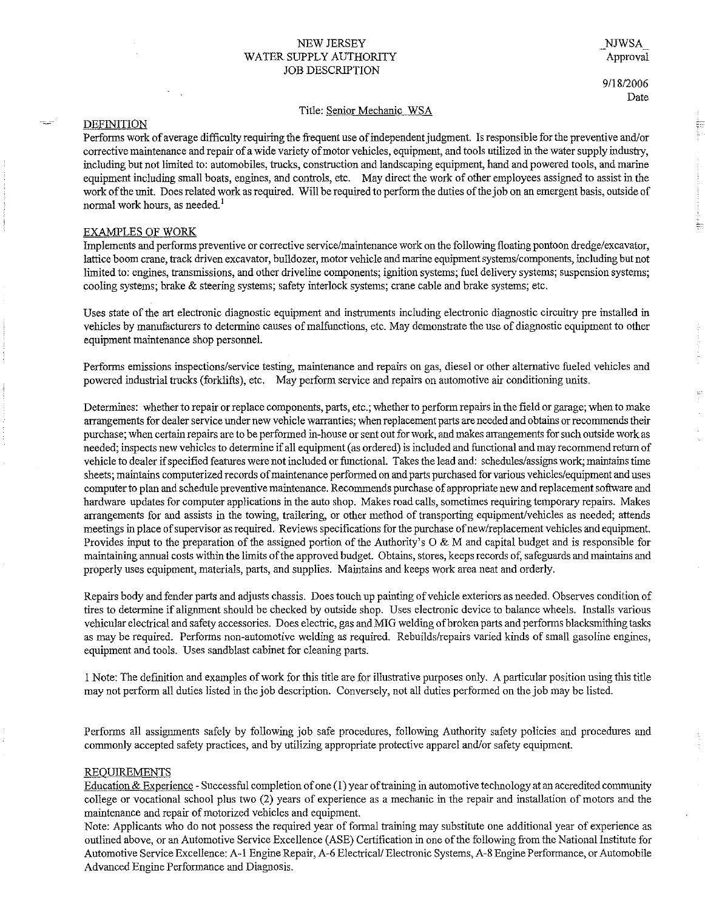## NEW JERSEY WATER SUPPLY AUTHORITY JOB DESCRIPTION

\_NJWSA\_ Approval

# 9/18/2006 Date

### Title: Senior Mechanic WSA

## DEFINITION

Performs work of average difficnlty requiring the frequent nse of independent judgment. Is responsible for the preventive and/or corrective maintenance and repair of a wide variety of motor vehicles, equipment, and tools utilized in the water supply industry, including but not limited to: automobiles, trucks, construction and landscaping equipment, hand and powered tools, and marine equipment including small boats, engines, and controls, etc. May direct the work of other employees assigned to assist in the work of the unit. Does related work as required. Will be required to perform the duties of the job on an emergent basis, outside of **normal work hours, as needed.** <sup>1</sup>

#### EXAMPLES OF WORK

Implements and performs preventive or corrective service/maintenance work on the following floating pontoon dredge/excavator, lattice boom crane, track driven excavator, bulldozer, motor vehicle and marine equipment systems/components, including but not **limited to: engines, transmissions, and other driveline components; ignition systems; fuel delivery systems; suspension systems;**  cooling systems; brake & steering systems; safety interlock systems; crane cable and brake systems; etc.

Uses state of the art electronic diagnostic equipment and instruments including electronic diagnostic circuitry pre installed in vehicles by manufacturers to determine causes of malfunctions, etc. May demonstrate the use of diagnostic equipment to other equipment maintenance shop personnel.

**Performs emissions inspections/service testing, maintenance and repairs on gas, diesel or other alternative fueled vehicles and**  powered industrial trucks (forklifts), etc. May perform service and repairs on automotive air conditioning units.

Determines: whether to repair or replace components, parts, etc.; whether to perform repairs in the field or garage; when to make **arrangements for dealer service under new vehicle warranties; when replacement parts are needed and obtains or recommends their purchase; when certain repairs are to be performed in-house or sent out for work, and makes arrangements for such outside work as**  needed; inspects new vehicles to determine if all equipment (as ordered) is included and functional and may recommend return of vehicle to dealer if specified features were not included or functional. Takes the lead and: schedules/assigns work; maintains time **sheets; maintains computerized records of maintenance performed on and parts purchased for various vehicles/equipment and uses**  computer to plan and schedule preventive maintenance. Recommends purchase of appropriate new and replacement software and hardware updates for computer applications in the auto shop. Makes road calls, sometimes requiring temporary repairs. Makes arrangements for and assists in the towing, trailering, or other method of transporting equipment/vehicles as needed; attends **meetings in place of supervisor as required. Reviews specifications for the purchase of new/replacement vehicles and equipment.**  Provides input to the preparation of the assigned portion of the Authority's  $O \& M$  and capital budget and is responsible for maintaining annual costs within the limits of the approved budget. Obtains, stores, keeps records of, safeguards and maintains and properly uses equipment, materials, parts, and supplies. Maintains and keeps work area neat and orderly.

Repairs body and fender parts and adjusts chassis. Does touch up painting of vehicle exteriors as needed. Observes condition of tires to determine if alignment should be checked by outside shop. Uses electronic device to balance wheels. Installs various vehicular electrical and safety accessories. Does electric, gas and MIG welding of broken parts and performs blacksmithing tasks as may be required. Performs non-automotive welding as required. Rebuilds/repairs varied kinds of small gasoline engines, equipment and tools. Uses sandblast cabinet for cleaning parts.

I Note: The definition and examples of work for this title are for illustrative purposes only. A particular position using this title may not perform all duties listed in the job description. Conversely, not all duties performed on the job may be listed.

Performs all assignments safely by following job safe procedures, following Authority safety policies and procedures and commonly accepted safety practices, and by utilizing appropriate protective apparel and/or safety equipment.

#### REQUIREMENTS

Education & Experience - Successful completion of one  $(1)$  year of training in automotive technology at an accredited community college or vocational school plus two (2) years of experience as a mechanic in the repair and installation of motors and the **maintenance and repair of motorized vehicles and equipment.** 

Note: Applicants who do not possess the required year of formal training may substitute one additional year of experience as outlined above, or an Automotive Service Excellence (ASE) Certification in one of the following from the National Institute for Automotive Service Excellence: A-1 Engine Repair, A-6 Electrical/ Electronic Systems, A-8 Engine Performance, or Automobile Advanced Engine Performance and Diagnosis.